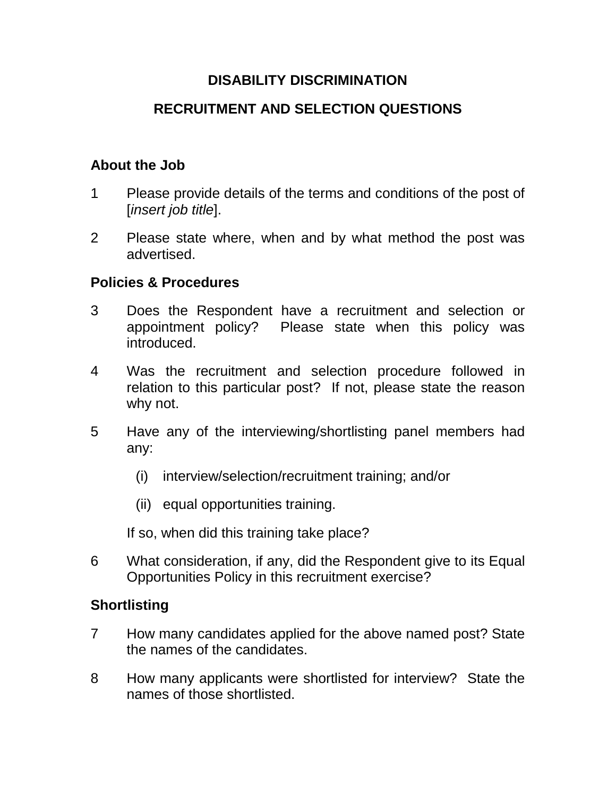# **DISABILITY DISCRIMINATION**

# **RECRUITMENT AND SELECTION QUESTIONS**

# **About the Job**

- 1 Please provide details of the terms and conditions of the post of [*insert job title*].
- 2 Please state where, when and by what method the post was advertised.

### **Policies & Procedures**

- 3 Does the Respondent have a recruitment and selection or appointment policy? Please state when this policy was introduced.
- 4 Was the recruitment and selection procedure followed in relation to this particular post? If not, please state the reason why not.
- 5 Have any of the interviewing/shortlisting panel members had any:
	- (i) interview/selection/recruitment training; and/or
	- (ii) equal opportunities training.

If so, when did this training take place?

6 What consideration, if any, did the Respondent give to its Equal Opportunities Policy in this recruitment exercise?

### **Shortlisting**

- 7 How many candidates applied for the above named post? State the names of the candidates.
- 8 How many applicants were shortlisted for interview? State the names of those shortlisted.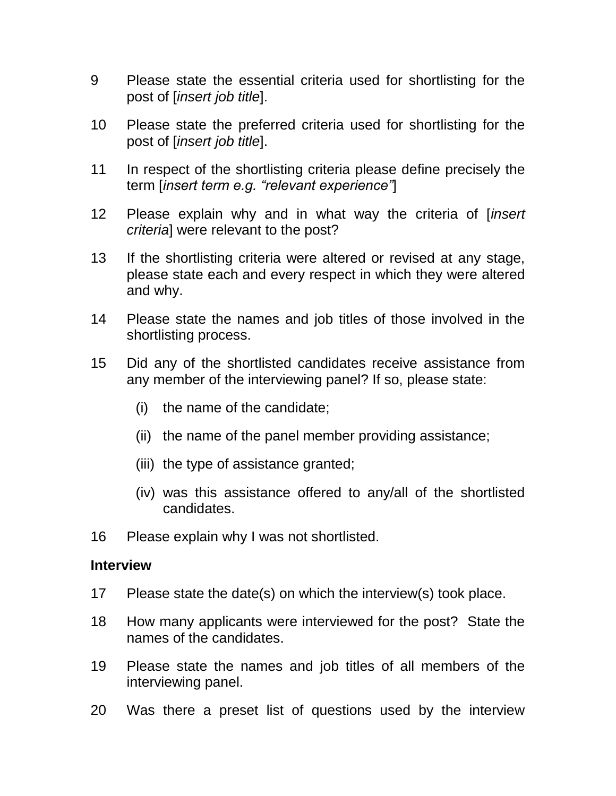- 9 Please state the essential criteria used for shortlisting for the post of [*insert job title*].
- 10 Please state the preferred criteria used for shortlisting for the post of [*insert job title*].
- 11 In respect of the shortlisting criteria please define precisely the term [*insert term e.g. "relevant experience"*]
- 12 Please explain why and in what way the criteria of [*insert criteria*] were relevant to the post?
- 13 If the shortlisting criteria were altered or revised at any stage, please state each and every respect in which they were altered and why.
- 14 Please state the names and job titles of those involved in the shortlisting process.
- 15 Did any of the shortlisted candidates receive assistance from any member of the interviewing panel? If so, please state:
	- (i) the name of the candidate;
	- (ii) the name of the panel member providing assistance;
	- (iii) the type of assistance granted;
	- (iv) was this assistance offered to any/all of the shortlisted candidates.
- 16 Please explain why I was not shortlisted.

#### **Interview**

- 17 Please state the date(s) on which the interview(s) took place.
- 18 How many applicants were interviewed for the post? State the names of the candidates.
- 19 Please state the names and job titles of all members of the interviewing panel.
- 20 Was there a preset list of questions used by the interview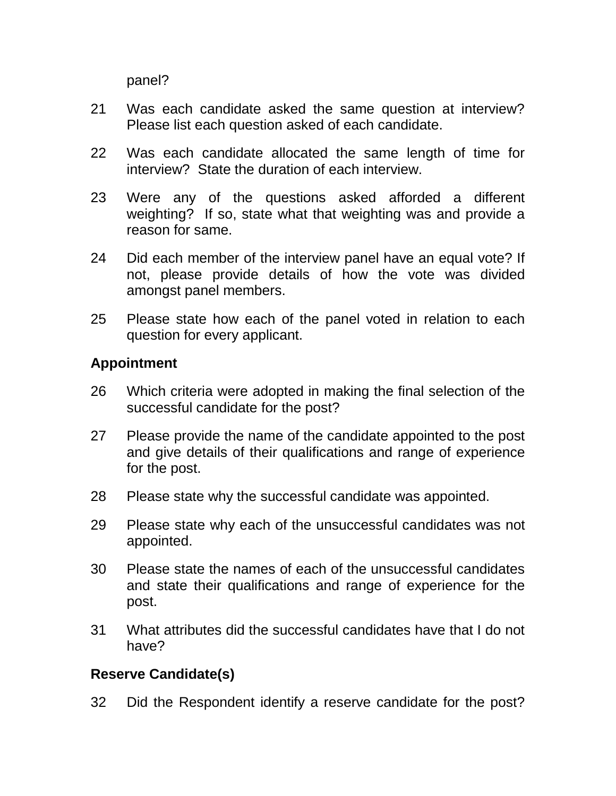panel?

- 21 Was each candidate asked the same question at interview? Please list each question asked of each candidate.
- 22 Was each candidate allocated the same length of time for interview? State the duration of each interview.
- 23 Were any of the questions asked afforded a different weighting? If so, state what that weighting was and provide a reason for same.
- 24 Did each member of the interview panel have an equal vote? If not, please provide details of how the vote was divided amongst panel members.
- 25 Please state how each of the panel voted in relation to each question for every applicant.

# **Appointment**

- 26 Which criteria were adopted in making the final selection of the successful candidate for the post?
- 27 Please provide the name of the candidate appointed to the post and give details of their qualifications and range of experience for the post.
- 28 Please state why the successful candidate was appointed.
- 29 Please state why each of the unsuccessful candidates was not appointed.
- 30 Please state the names of each of the unsuccessful candidates and state their qualifications and range of experience for the post.
- 31 What attributes did the successful candidates have that I do not have?

### **Reserve Candidate(s)**

32 Did the Respondent identify a reserve candidate for the post?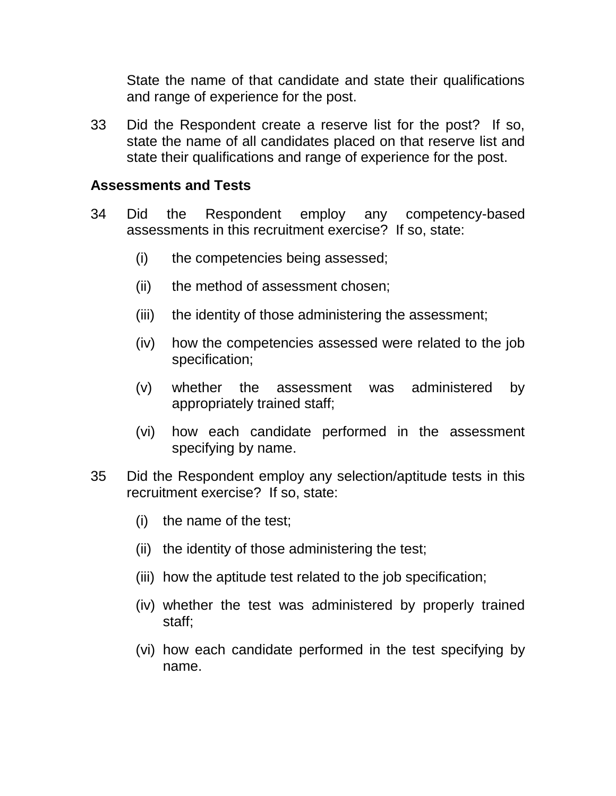State the name of that candidate and state their qualifications and range of experience for the post.

33 Did the Respondent create a reserve list for the post? If so, state the name of all candidates placed on that reserve list and state their qualifications and range of experience for the post.

#### **Assessments and Tests**

- 34 Did the Respondent employ any competency-based assessments in this recruitment exercise? If so, state:
	- (i) the competencies being assessed;
	- (ii) the method of assessment chosen;
	- (iii) the identity of those administering the assessment;
	- (iv) how the competencies assessed were related to the job specification;
	- (v) whether the assessment was administered by appropriately trained staff;
	- (vi) how each candidate performed in the assessment specifying by name.
- 35 Did the Respondent employ any selection/aptitude tests in this recruitment exercise? If so, state:
	- (i) the name of the test;
	- (ii) the identity of those administering the test;
	- (iii) how the aptitude test related to the job specification;
	- (iv) whether the test was administered by properly trained staff;
	- (vi) how each candidate performed in the test specifying by name.